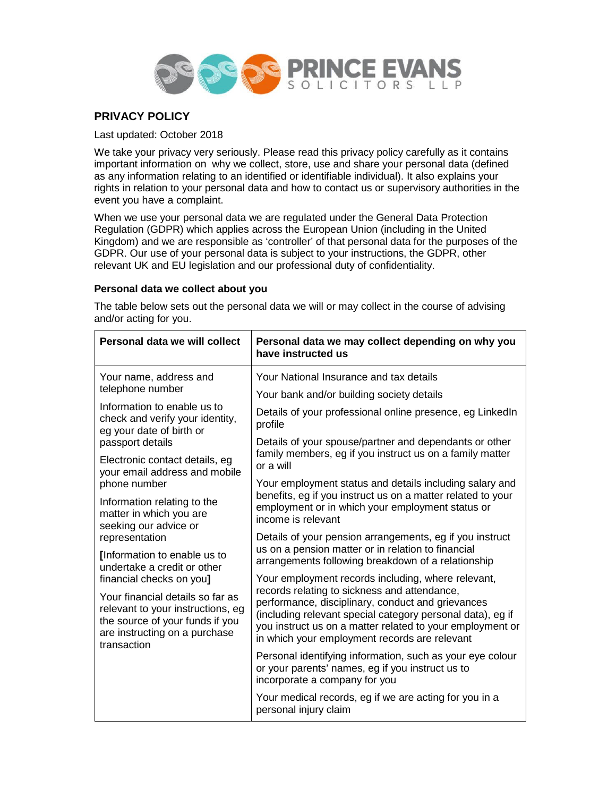

# **PRIVACY POLICY**

Last updated: October 2018

We take your privacy very seriously. Please read this privacy policy carefully as it contains important information on why we collect, store, use and share your personal data (defined as any information relating to an identified or identifiable individual). It also explains your rights in relation to your personal data and how to contact us or supervisory authorities in the event you have a complaint.

When we use your personal data we are regulated under the General Data Protection Regulation (GDPR) which applies across the European Union (including in the United Kingdom) and we are responsible as 'controller' of that personal data for the purposes of the GDPR. Our use of your personal data is subject to your instructions, the GDPR, other relevant UK and EU legislation and our professional duty of confidentiality.

# **Personal data we collect about you**

The table below sets out the personal data we will or may collect in the course of advising and/or acting for you.

| Personal data we will collect                                                                                                                            | Personal data we may collect depending on why you<br>have instructed us                                                                                                                                                                                                       |  |
|----------------------------------------------------------------------------------------------------------------------------------------------------------|-------------------------------------------------------------------------------------------------------------------------------------------------------------------------------------------------------------------------------------------------------------------------------|--|
| Your name, address and<br>telephone number                                                                                                               | Your National Insurance and tax details                                                                                                                                                                                                                                       |  |
|                                                                                                                                                          | Your bank and/or building society details                                                                                                                                                                                                                                     |  |
| Information to enable us to<br>check and verify your identity,<br>eg your date of birth or<br>passport details                                           | Details of your professional online presence, eg LinkedIn<br>profile                                                                                                                                                                                                          |  |
|                                                                                                                                                          | Details of your spouse/partner and dependants or other                                                                                                                                                                                                                        |  |
| Electronic contact details, eg<br>your email address and mobile                                                                                          | family members, eg if you instruct us on a family matter<br>or a will                                                                                                                                                                                                         |  |
| phone number                                                                                                                                             | Your employment status and details including salary and                                                                                                                                                                                                                       |  |
| Information relating to the<br>matter in which you are<br>seeking our advice or                                                                          | benefits, eg if you instruct us on a matter related to your<br>employment or in which your employment status or<br>income is relevant                                                                                                                                         |  |
| representation                                                                                                                                           | Details of your pension arrangements, eg if you instruct                                                                                                                                                                                                                      |  |
| [Information to enable us to<br>undertake a credit or other                                                                                              | us on a pension matter or in relation to financial<br>arrangements following breakdown of a relationship                                                                                                                                                                      |  |
| financial checks on you]                                                                                                                                 | Your employment records including, where relevant,                                                                                                                                                                                                                            |  |
| Your financial details so far as<br>relevant to your instructions, eg<br>the source of your funds if you<br>are instructing on a purchase<br>transaction | records relating to sickness and attendance,<br>performance, disciplinary, conduct and grievances<br>(including relevant special category personal data), eg if<br>you instruct us on a matter related to your employment or<br>in which your employment records are relevant |  |
|                                                                                                                                                          | Personal identifying information, such as your eye colour<br>or your parents' names, eg if you instruct us to<br>incorporate a company for you                                                                                                                                |  |
|                                                                                                                                                          | Your medical records, eg if we are acting for you in a<br>personal injury claim                                                                                                                                                                                               |  |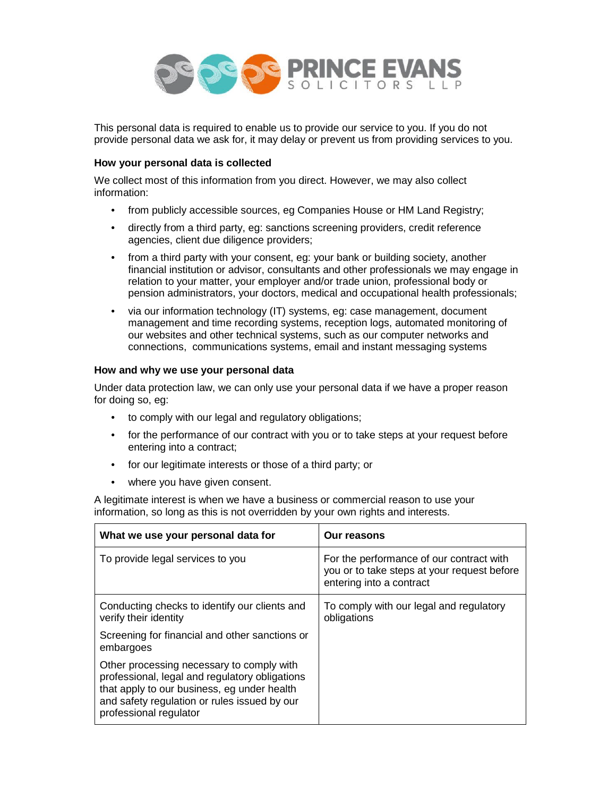

This personal data is required to enable us to provide our service to you. If you do not provide personal data we ask for, it may delay or prevent us from providing services to you.

## **How your personal data is collected**

We collect most of this information from you direct. However, we may also collect information:

- from publicly accessible sources, eg Companies House or HM Land Registry;
- directly from a third party, eg: sanctions screening providers, credit reference agencies, client due diligence providers;
- from a third party with your consent, eg: your bank or building society, another financial institution or advisor, consultants and other professionals we may engage in relation to your matter, your employer and/or trade union, professional body or pension administrators, your doctors, medical and occupational health professionals;
- via our information technology (IT) systems, eg: case management, document management and time recording systems, reception logs, automated monitoring of our websites and other technical systems, such as our computer networks and connections, communications systems, email and instant messaging systems

## **How and why we use your personal data**

Under data protection law, we can only use your personal data if we have a proper reason for doing so, eg:

- to comply with our legal and regulatory obligations;
- for the performance of our contract with you or to take steps at your request before entering into a contract;
- for our legitimate interests or those of a third party; or
- where you have given consent.

A legitimate interest is when we have a business or commercial reason to use your information, so long as this is not overridden by your own rights and interests.

| What we use your personal data for                                                                                                                                                                                   | Our reasons                                                                                                         |
|----------------------------------------------------------------------------------------------------------------------------------------------------------------------------------------------------------------------|---------------------------------------------------------------------------------------------------------------------|
| To provide legal services to you                                                                                                                                                                                     | For the performance of our contract with<br>you or to take steps at your request before<br>entering into a contract |
| Conducting checks to identify our clients and<br>verify their identity                                                                                                                                               | To comply with our legal and regulatory<br>obligations                                                              |
| Screening for financial and other sanctions or<br>embargoes                                                                                                                                                          |                                                                                                                     |
| Other processing necessary to comply with<br>professional, legal and regulatory obligations<br>that apply to our business, eg under health<br>and safety regulation or rules issued by our<br>professional regulator |                                                                                                                     |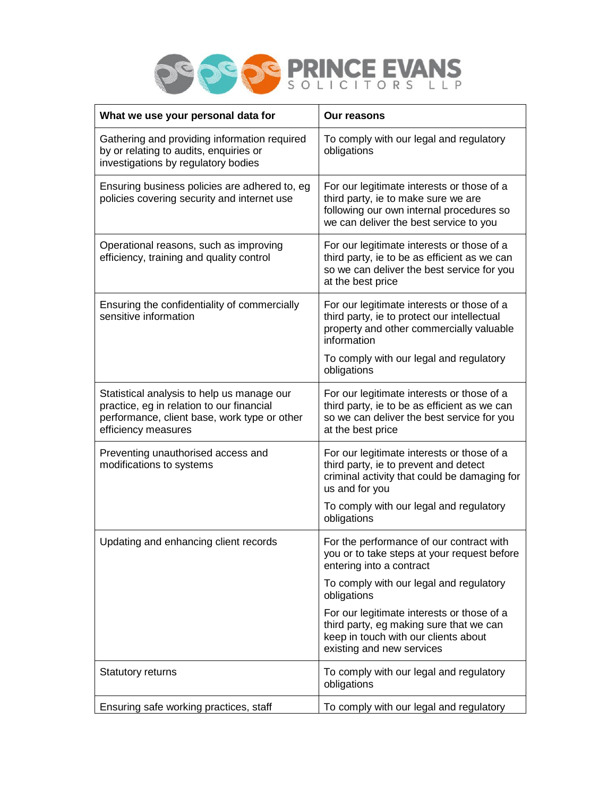

| What we use your personal data for                                                                                                                             | <b>Our reasons</b>                                                                                                                                                      |
|----------------------------------------------------------------------------------------------------------------------------------------------------------------|-------------------------------------------------------------------------------------------------------------------------------------------------------------------------|
| Gathering and providing information required<br>by or relating to audits, enquiries or<br>investigations by regulatory bodies                                  | To comply with our legal and regulatory<br>obligations                                                                                                                  |
| Ensuring business policies are adhered to, eg<br>policies covering security and internet use                                                                   | For our legitimate interests or those of a<br>third party, ie to make sure we are<br>following our own internal procedures so<br>we can deliver the best service to you |
| Operational reasons, such as improving<br>efficiency, training and quality control                                                                             | For our legitimate interests or those of a<br>third party, ie to be as efficient as we can<br>so we can deliver the best service for you<br>at the best price           |
| Ensuring the confidentiality of commercially<br>sensitive information                                                                                          | For our legitimate interests or those of a<br>third party, ie to protect our intellectual<br>property and other commercially valuable<br>information                    |
|                                                                                                                                                                | To comply with our legal and regulatory<br>obligations                                                                                                                  |
| Statistical analysis to help us manage our<br>practice, eg in relation to our financial<br>performance, client base, work type or other<br>efficiency measures | For our legitimate interests or those of a<br>third party, ie to be as efficient as we can<br>so we can deliver the best service for you<br>at the best price           |
| Preventing unauthorised access and<br>modifications to systems                                                                                                 | For our legitimate interests or those of a<br>third party, ie to prevent and detect<br>criminal activity that could be damaging for<br>us and for you                   |
|                                                                                                                                                                | To comply with our legal and regulatory<br>obligations                                                                                                                  |
| Updating and enhancing client records                                                                                                                          | For the performance of our contract with<br>you or to take steps at your request before<br>entering into a contract                                                     |
|                                                                                                                                                                | To comply with our legal and regulatory<br>obligations                                                                                                                  |
|                                                                                                                                                                | For our legitimate interests or those of a<br>third party, eg making sure that we can<br>keep in touch with our clients about<br>existing and new services              |
| <b>Statutory returns</b>                                                                                                                                       | To comply with our legal and regulatory<br>obligations                                                                                                                  |
| Ensuring safe working practices, staff                                                                                                                         | To comply with our legal and regulatory                                                                                                                                 |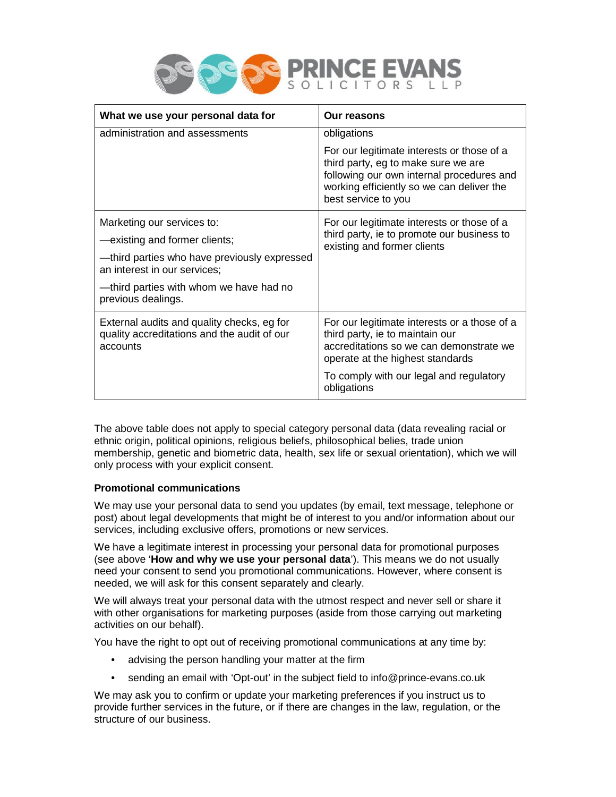

| What we use your personal data for                                                                    | Our reasons                                                                                                                                                                                        |
|-------------------------------------------------------------------------------------------------------|----------------------------------------------------------------------------------------------------------------------------------------------------------------------------------------------------|
| administration and assessments                                                                        | obligations                                                                                                                                                                                        |
|                                                                                                       | For our legitimate interests or those of a<br>third party, eg to make sure we are<br>following our own internal procedures and<br>working efficiently so we can deliver the<br>best service to you |
| Marketing our services to:                                                                            | For our legitimate interests or those of a<br>third party, ie to promote our business to<br>existing and former clients                                                                            |
| -existing and former clients;                                                                         |                                                                                                                                                                                                    |
| -third parties who have previously expressed<br>an interest in our services;                          |                                                                                                                                                                                                    |
| -third parties with whom we have had no<br>previous dealings.                                         |                                                                                                                                                                                                    |
| External audits and quality checks, eg for<br>quality accreditations and the audit of our<br>accounts | For our legitimate interests or a those of a<br>third party, ie to maintain our<br>accreditations so we can demonstrate we<br>operate at the highest standards                                     |
|                                                                                                       | To comply with our legal and regulatory<br>obligations                                                                                                                                             |

The above table does not apply to special category personal data (data revealing racial or ethnic origin, political opinions, religious beliefs, philosophical belies, trade union membership, genetic and biometric data, health, sex life or sexual orientation), which we will only process with your explicit consent.

# **Promotional communications**

We may use your personal data to send you updates (by email, text message, telephone or post) about legal developments that might be of interest to you and/or information about our services, including exclusive offers, promotions or new services.

We have a legitimate interest in processing your personal data for promotional purposes (see above '**How and why we use your personal data**'). This means we do not usually need your consent to send you promotional communications. However, where consent is needed, we will ask for this consent separately and clearly.

We will always treat your personal data with the utmost respect and never sell or share it with other organisations for marketing purposes (aside from those carrying out marketing activities on our behalf).

You have the right to opt out of receiving promotional communications at any time by:

- advising the person handling your matter at the firm
- sending an email with 'Opt-out' in the subject field to info@prince-evans.co.uk

We may ask you to confirm or update your marketing preferences if you instruct us to provide further services in the future, or if there are changes in the law, regulation, or the structure of our business.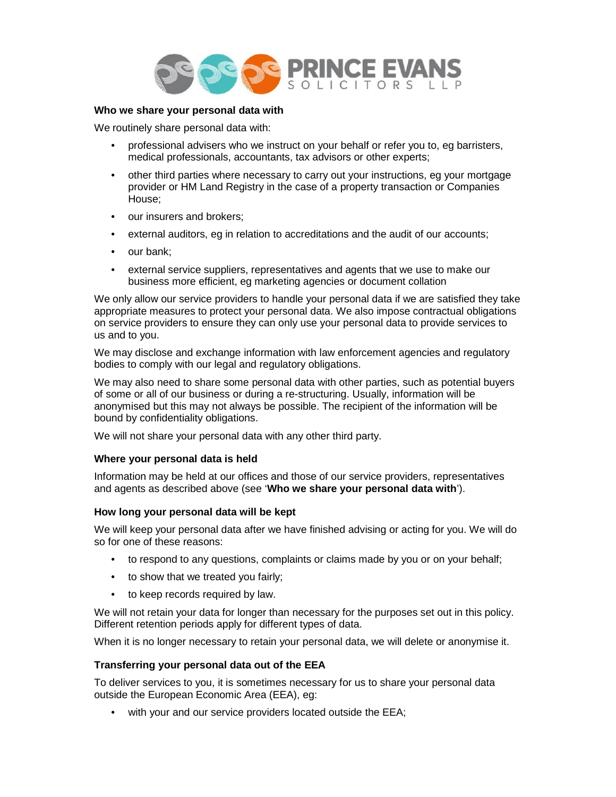

## **Who we share your personal data with**

We routinely share personal data with:

- professional advisers who we instruct on your behalf or refer you to, eg barristers, medical professionals, accountants, tax advisors or other experts;
- other third parties where necessary to carry out your instructions, eg your mortgage provider or HM Land Registry in the case of a property transaction or Companies House;
- our insurers and brokers;
- external auditors, eg in relation to accreditations and the audit of our accounts;
- our bank:
- external service suppliers, representatives and agents that we use to make our business more efficient, eg marketing agencies or document collation

We only allow our service providers to handle your personal data if we are satisfied they take appropriate measures to protect your personal data. We also impose contractual obligations on service providers to ensure they can only use your personal data to provide services to us and to you.

We may disclose and exchange information with law enforcement agencies and regulatory bodies to comply with our legal and regulatory obligations.

We may also need to share some personal data with other parties, such as potential buyers of some or all of our business or during a re-structuring. Usually, information will be anonymised but this may not always be possible. The recipient of the information will be bound by confidentiality obligations.

We will not share your personal data with any other third party.

#### **Where your personal data is held**

Information may be held at our offices and those of our service providers, representatives and agents as described above (see '**Who we share your personal data with**').

#### **How long your personal data will be kept**

We will keep your personal data after we have finished advising or acting for you. We will do so for one of these reasons:

- to respond to any questions, complaints or claims made by you or on your behalf;
- to show that we treated you fairly;
- to keep records required by law.

We will not retain your data for longer than necessary for the purposes set out in this policy. Different retention periods apply for different types of data.

When it is no longer necessary to retain your personal data, we will delete or anonymise it.

#### **Transferring your personal data out of the EEA**

To deliver services to you, it is sometimes necessary for us to share your personal data outside the European Economic Area (EEA), eg:

• with your and our service providers located outside the EEA;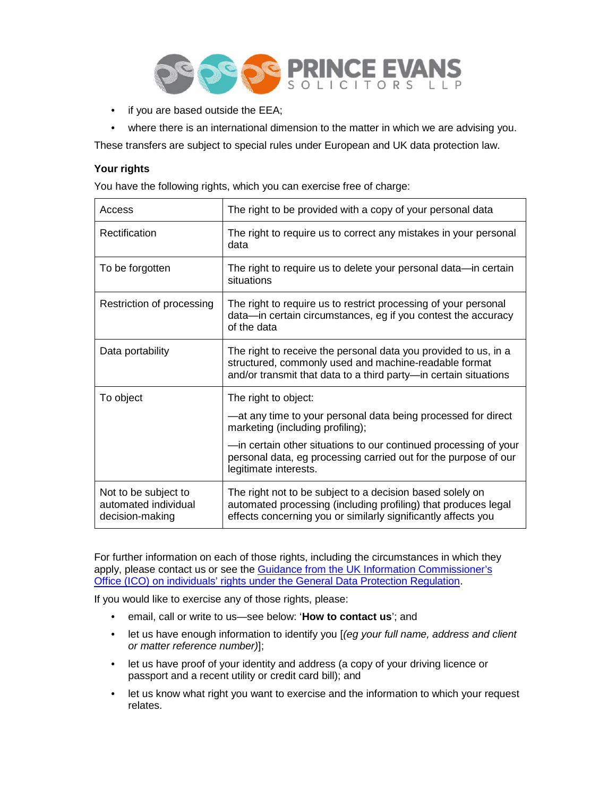

- if you are based outside the EEA;
- where there is an international dimension to the matter in which we are advising you.

These transfers are subject to special rules under European and UK data protection law.

### **Your rights**

You have the following rights, which you can exercise free of charge:

| Access                                                          | The right to be provided with a copy of your personal data                                                                                                                                   |
|-----------------------------------------------------------------|----------------------------------------------------------------------------------------------------------------------------------------------------------------------------------------------|
| Rectification                                                   | The right to require us to correct any mistakes in your personal<br>data                                                                                                                     |
| To be forgotten                                                 | The right to require us to delete your personal data—in certain<br>situations                                                                                                                |
| Restriction of processing                                       | The right to require us to restrict processing of your personal<br>data-in certain circumstances, eg if you contest the accuracy<br>of the data                                              |
| Data portability                                                | The right to receive the personal data you provided to us, in a<br>structured, commonly used and machine-readable format<br>and/or transmit that data to a third party-in certain situations |
| To object                                                       | The right to object:                                                                                                                                                                         |
|                                                                 | -at any time to your personal data being processed for direct<br>marketing (including profiling);                                                                                            |
|                                                                 | -in certain other situations to our continued processing of your<br>personal data, eg processing carried out for the purpose of our<br>legitimate interests.                                 |
| Not to be subject to<br>automated individual<br>decision-making | The right not to be subject to a decision based solely on<br>automated processing (including profiling) that produces legal<br>effects concerning you or similarly significantly affects you |

For further information on each of those rights, including the circumstances in which they apply, please contact us or see the Guidance from the UK Information Commissioner's Office (ICO) on individuals' rights under the General Data Protection Regulation.

If you would like to exercise any of those rights, please:

- email, call or write to us—see below: '**How to contact us**'; and
- let us have enough information to identify you [*(eg your full name, address and client or matter reference number)*];
- let us have proof of your identity and address (a copy of your driving licence or passport and a recent utility or credit card bill); and
- let us know what right you want to exercise and the information to which your request relates.